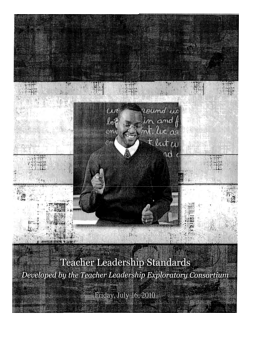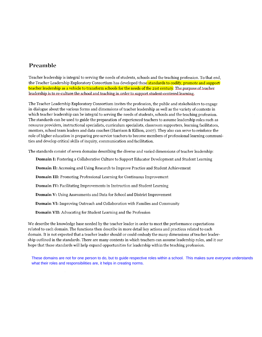### **Preamble**

Teacher leadership is integral to serving the needs of students, schools and the teaching profession. To that end, the Teacher Leadership Exploratory Consortium has developed these standards to codify, promote and support teacher leadership as a vehicle to transform schools for the needs of the 21st century. The purpose of teacher leadership is to re-culture the school and teaching in order to support student-centered learning.

The Teacher Leadership Exploratory Consortium invites the profession, the public and stakeholders to engage in dialogue about the various forms and dimensions of teacher leadership as well as the variety of contexts in which teacher leadership can be integral to serving the needs of students, schools and the teaching profession. The standards can be used to guide the preparation of experienced teachers to assume leadership roles such as resource providers, instructional specialists, curriculum specialists, classroom supporters, learning facilitators, mentors, school team leaders and data coaches (Harrison & Killion, 2007). They also can serve to reinforce the role of higher education in preparing pre-service teachers to become members of professional learning communities and develop critical skills of inquiry, communication and facilitation.

The standards consist of seven domains describing the diverse and varied dimensions of teacher leadership:

**Domain I:** Fostering a Collaborative Culture to Support Educator Development and Student Learning **Domain II:** Accessing and Using Research to Improve Practice and Student Achievement **Domain III:** Promoting Professional Learning for Continuous Improvement **Domain IV: Facilitating Improvements in Instruction and Student Learning Domain** V: Using Assessments and Data for School and District Improvement **Domain VI:** Improving Outreach and Collaboration with Families and Community **Domain VII:** Advocating for Student Learning and the Profession

We describe the knowledge base needed by the teacher leader in order to meet the performance expectations related to each domain. The functions then describe in more detail key actions and practices related to each domain. It is not expected that a teacher leader should or could embody the many dimensions of teacher leadership outlined in the standards. There are many contexts in which teachers can assume leadership roles, and it our hope that these standards will help expand opportunities for leadership within the teaching profession.

These domains are not for one person to do, but to guide respective roles within a school. This makes sure everyone understands what their roles and responsibilities are, it helps in creating norms.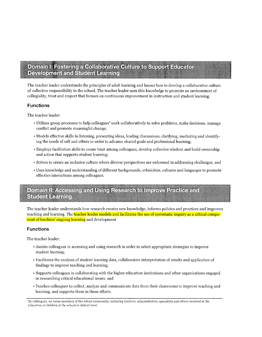### Domain I: Fostering a Collaborative Culture to Support Educator **Development and Student Learning**

The teacher leader understands the principles of adult learning and knows how to develop a collaborative culture of collective responsibility in the school. The teacher leader uses this knowledge to promote an environment of collegiality, trust and respect that focuses on continuous improvement in instruction and student learning.

#### **Functions**

The teacher leader:

- Utilizes group processes to help colleagues' work collaboratively to solve problems, make decisions, manage conflict and promote meaningful change;
- Models effective skills in listening, presenting ideas, leading discussions, clarifying, mediating and identifying the needs of self and others in order to advance shared goals and professional learning;
- Employs facilitation skills to create trust among colleagues, develop collective wisdom and build ownership and action that supports student learning;
- Strives to create an inclusive culture where diverse perspectives are welcomed in addressing challenges; and
- Uses knowledge and understanding of different backgrounds, ethnicities, cultures and languages to promote effective interactions among colleagues.

### Domain II: Accessing and Using Research to Improve Practice and **Student Learning**

The teacher leader understands how research creates new knowledge, informs policies and practices and improves teaching and learning. The teacher leader models and facilitates the use of systematic inquiry as a critical component of teachers' ongoing learning and development.

#### **Functions**

The teacher leader:

- Assists colleagues in accessing and using research in order to select appropriate strategies to improve student learning;
- Facilitates the analysis of student learning data, collaborative interpretation of results and application of findings to improve teaching and learning;
- Supports colleagues in collaborating with the higher education institutions and other organizations engaged in researching critical educational issues; and
- Teaches colleagues to collect, analyze and communicate data from their classrooms to improve teaching and learning, and supports them in these efforts.

<sup>&#</sup>x27; By colleagues, we mean members of the school community, including teachers, administrators, specialists and others involved in the education of children at the school or district level.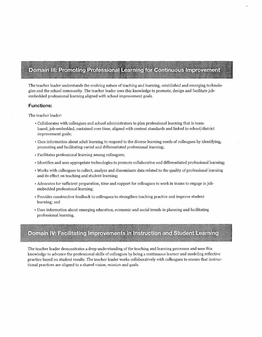# **Domain III: Promoting Professional Learning for Continuous Improvement**

The teacher leader understands the evolving nature of teaching and learning, established and emerging technologies and the school community. The teacher leader uses this knowledge to promote, design and facilitate jobembedded professional learning aligned with school improvement goals.

#### **Functions:**

The teacher leader:

- Collaborates with colleagues and school administrators to plan professional learning that is teambased, job-embedded, sustained over time, aligned with content standards and linked to school/ district improvement goals;
- Uses information about adult learning to respond to the diverse learning needs of colleagues by identifying, promoting and facilitating varied and differentiated professional learning;
- Facilitates professional learning among colleagues;
- Identifies and uses appropriate technologies to promote collaborative and differentiated professional learning;
- Works with colleagues to collect, analyze and disseminate data related to the quality of professional learning and its effect on teaching and student learning;
- Advocates for sufficient preparation, time and support for colleagues to work in teams to engage in jobembedded professional learning;
- Provides constructive feedback to colleagues to strengthen teaching practice and improve student learning; and
- Uses information about emerging education, economic and social trends in planning and facilitating professional learning.

## Domain IV: Facilitating Improvements in Instruction and Student Learning

The teacher leader demonstrates a deep understanding of the teaching and learning processes and uses this knowledge to advance the professional skills of colleagues by being a continuous learner and modeling reflective practice based on student results. The teacher leader works collaboratively with colleagues to ensure that instructional practices are aligned to a shared vision, mission and goals.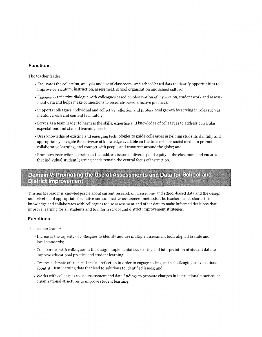#### **Functions**

The teacher leader:

- Facilitates the collection, analysis and use of classroom- and school-based data to identify opportunities to improve curriculum, instruction, assessment, school organization and school culture;
- Engages in reflective dialogue with colleagues based on observation of instruction, student work and assessment data and helps make connections to research-based effective practices;
- Supports colleagues' individual and collective reflection and professional growth by serving in roles such as mentor, coach and content facilitator;
- Serves as a team leader to harness the skills, expertise and knowledge of colleagues to address curricular expectations and student learning needs;
- Uses knowledge of existing and emerging technologies to guide colleagues in helping students skillfully and appropriately navigate the universe of knowledge available on the Internet, use social media to promote collaborative learning, and connect with people and resources around the globe; and
- Promotes instructional strategies that address issues of diversity and equity in the classroom and ensures that individual student learning needs remain the central focus of instruction.

### Domain V: Promoting the Use of Assessments and Data for School and **District Improvement**

The teacher leader is knowledgeable about current research on classroom- and school-based data and the design and selection of appropriate formative and summative assessment methods. The teacher leader shares this knowledge and collaborates with colleagues to use assessment and other data to make informed decisions that improve learning for all students and to inform school and district improvement strategies.

#### **Functions**

The teacher leader:

- Increases the capacity of colleagues to identify and use multiple assessment tools aligned to state and local standards;
- Collaborates with colleagues in the design, implementation, scoring and interpretation of student data to improve educational practice and student learning;
- Creates a climate of trust and critical reflection in order to engage colleagues in challenging conversations about student learning data that lead to solutions to identified issues; and
- Works with colleagues to use assessment and data findings to promote changes in instructional practices or organizational structures to improve student learning.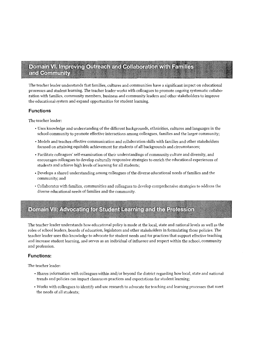### Domain VI. Improving Outreach and Collaboration with Families and Community

The teacher leader understands that families, cultures and communities have a significant impact on educational processes and student learning. The teacher leader works with colleagues to promote ongoing systematic collaboration with families, community members, business and community leaders and other stakeholders to improve the educational system and expand opportunities for student learning.

#### **Functions**

The teacher leader:

- Uses knowledge and understanding of the different backgrounds, ethnicities, cultures and languages in the school community to promote effective interactions among colleagues, families and the larger community;
- Models and teaches effective communication and collaboration skills with families and other stakeholders focused on attaining equitable achievement for students of all backgrounds and circumstances;
- Facilitate colleagues' self-examination of their understandings of community culture and diversity, and encourages colleagues to develop culturally responsive strategies to enrich the educational experiences of students and achieve high levels of learning for all students;
- Develops a shared understanding among colleagues of the diverse educational needs of families and the community; and
- <sup>~</sup>**Collaborates v-tith families, communities and colleagues to develop coniprehensive strategies to address the**  diverse educational needs of families and the community.

# Domain VII: Advocating for Student Learning and the Profession

The teacher leader understands how educational policy is made at the local, state and national levels as well as the roles of school leaders, boards of education, legislators and other stakeholders in formulating those policies. The teacher leader uses this knowledge to advocate for student needs and for practices that support effective teaching and increase student learning, and serves as an individual of influence and respect within the school, community and profession.

#### **Functions:**

The teacher leader:

- Shares information with colleagues within and/or beyond the district regarding how local, state and national trends and policies can impact classroom practices and expectations for student learning;
- Works with colleagues to identify and use research to advocate for teaching and learning processes that meet the needs of all students;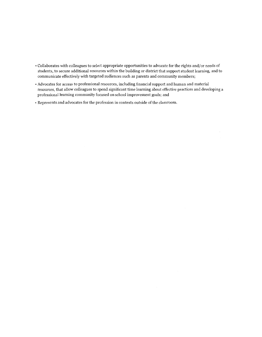- Collaborates with colleagues to select appropriate opportunities to advocate for the rights and/ or needs of students, to secure additional resources within the building or district that support student learning, and to communicate effectively with targeted audiences such as parents and community members;
- Advocates for access to professional resources, including financial support and human and material resources, that allow colleagues to spend significant time learning about effective practices and developing a professional learning community focused on school improvement goals; and
- Represents and advocates for the profession in contexts outside of the classroom.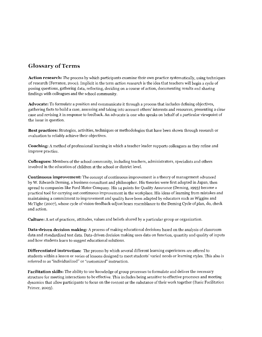### **Glossary of Terms**

**Action research:** The process by which participants examine their own practice systematically, using techniques of research (Ferrance, 2000 ). Implicit in the term *action research* is the idea that teachers will begin a cycle of posing questions, gathering data, reflecting, deciding on a course of action, documenting results and sharing findings with colleagues and the school community.

**Advocate:** To formulate a position and communicate it through a process that includes defining objectives, gathering facts to build a case, assessing and taking into account others' interests and resources, presenting a clear case and revising it in response to feedback. An advocate is one who speaks on behalf of a particular viewpoint of the issue in question.

**Best practices:** Strategies, activities, techniques or methodologies that have been shown through research or evaluation to reliably achieve their objectives.

**Coaching:** A method of professional learning in which a teacher leader supports colleagues as they refine and improve practice.

**Colleagues:** Members of the school community, including teachers, administrators, specialists and others involved in the education of children at the school or district level.

**Continuous improvement:** The concept of continuous improvement is a theory of management advanced by W. Edwards Deming, a business consultant and philosopher. His theories were first adopted in Japan, then spread to companies like Ford Motor Company. His 14 points for Quality Assurance (Deming, 1993) became a practical tool for carrying out continuous improvement in the workplace. His ideas of learning from mistakes and maintaining a commitment to improvement and quality have been adapted by educators such as Wiggins and McTighe (2007), whose cycle of vision-feedback-adjust bears resemblance to the Deming Cycle of plan, do, check and action.

**Culture:** A set of practices, attitudes, values and beliefs shared by a particular group or organization.

**Data-driven decision making:** A process of making educational decisions based on the analysis of classroom data and standardized test data. Data-driven decision making uses data on function, quantity and quality of inputs and how students learn to suggest educational solutions.

**Differentiated instruction:** The process by which several different learning experiences are offered to students within a lesson or series of lessons designed to meet students' varied needs or learning styles. This also is referred to as "individualized" or "customized" instruction.

**Facilitation skills:** The ability to use knowledge of group processes to formulate and deliver the necessary structure for meeting interactions to be effective. This includes being sensitive to effective processes and meeting dynamics that allow participants to focus on the content or the substance of their work together (Basic Facilitation Primer, 2003).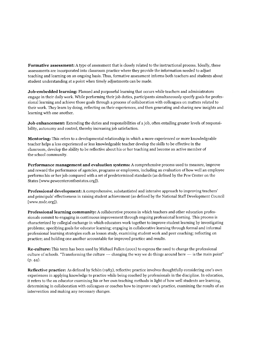**Formative assessment:** A type of assessment that is closely related to the instructional process. Ideally, these assessments are incorporated into classroom practice where they provide the information needed to adjust teaching and learning on an ongoing basis. Thus, formative assessment informs both teachers and students about student understanding at a point when timely adjustments can be made.

**Job-embedded learning:** Planned and purposeful learning that occurs while teachers and administrators engage in their daily work. While performing their job duties, participants simultaneously specify goals for professional learning and achieve those goals through a process of collaboration with colleagues on matters related to their work. They learn by doing, reflecting on their experiences, and then generating and sharing new insights and learning with one another.

**Job enhancement:** Extending the duties and responsibilities of a job, often entailing greater levels of responsibility, autonomy and control, thereby increasing job satisfaction.

**Mentoring:** This refers to a developmental relationship in which a more experienced or more knowledgeable teacher helps a less experienced or less knowledgeable teacher develop the skills to be effective in the classroom, develop the ability to be reflective about his or her teaching and become an active member of the school community.

**Performance management and evaluation systems:** A comprehensive process used to measure, improve and reward the performance of agencies, programs or employees, including an evaluation of how well an employee performs his or her job compared with a set of predetermined standards (as defined by the Pew Center on the States [ www. pewcenteronthestates.org]).

**Professional development:** A comprehensive, substantiated and intensive approach to improving teachers' and principals' effectiveness in raising student achievement (as defined by the National Staff Development Council [www.nsdc.org]).

**Professional learning community:** A collaborative process in which teachers and other education professionals commit to engaging in continuous improvement through ongoing professional learning. This process is characterized by collegial exchange in which educators work together to improve student learning by investigating problems; specifying goals for educator learning; engaging in collaborative learning through formal and informal professional learning strategies such as Jesson study, examining student work and peer coaching; reflecting on practice; and holding one another accountable for improved practice and results.

**Re-culture:** This term has been used by Michael Fullen (2001) to express the need to change the professional culture of schools. "Transforming the culture  $-$  changing the way we do things around here  $-$  is the main point" (p. 44).

Reflective practice: As defined by Schön (1983), reflective practice involves thoughtfully considering one's own experiences in applying knowledge to practice while being coached by professionals in the discipline. In education, it refers to the an educator examining his or her own teaching methods in light of how well students are learning, determining in collaboration with colleagues or coaches how to improve one's practice, examining the results of an intervention and making any necessary changes.